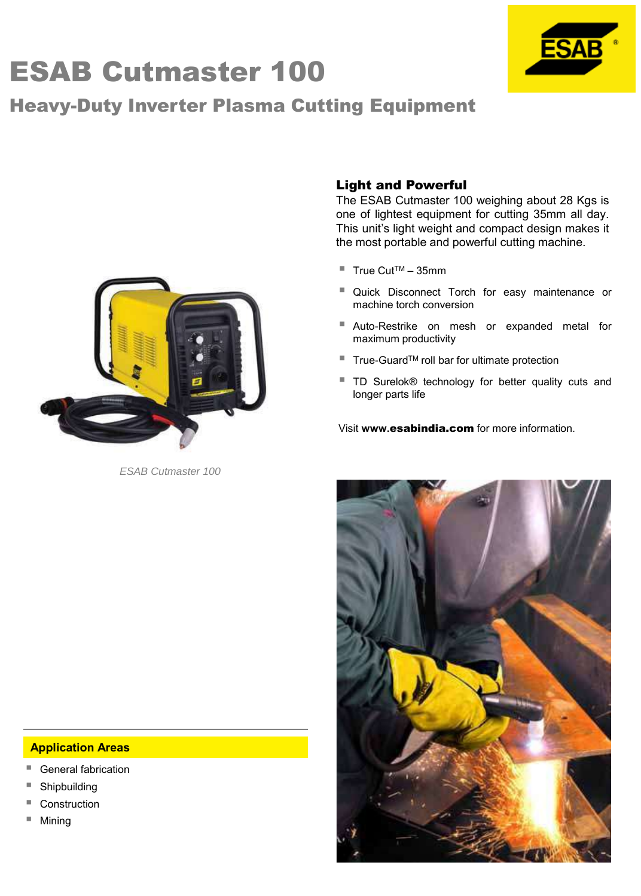# ESAB Cutmaster 100

# Heavy-Duty Inverter Plasma Cutting Equipment



*ESAB Cutmaster 100*

### Light and Powerful

The ESAB Cutmaster 100 weighing about 28 Kgs is one of lightest equipment for cutting 35mm all day. This unit's light weight and compact design makes it the most portable and powerful cutting machine.

- $\blacksquare$  True Cut<sup>TM</sup> 35mm
- Quick Disconnect Torch for easy maintenance or machine torch conversion
- Auto-Restrike on mesh or expanded metal for maximum productivity
- True-GuardTM roll bar for ultimate protection
- TD Surelok® technology for better quality cuts and longer parts life

Visit **www.**esabindia.com for more information.



#### **Application Areas**

- General fabrication
- Shipbuilding
- **Construction**
- Mining